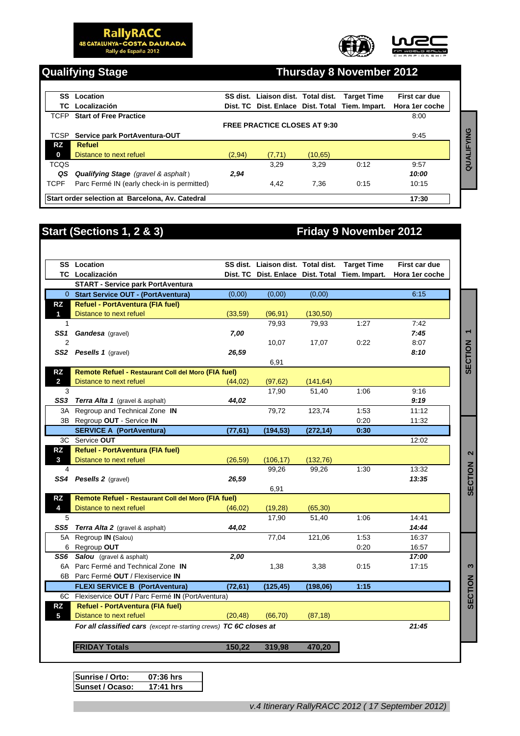**RallyRACC**<br>48 CATALUNYA-COSTA DAURADA<br>Rally de España 2012





### **Qualifying Stage Thursday 8 November 2012**

|             | <b>SS</b> Location                               |        | SS dist. Liaison dist. Total dist.  |          | <b>Target Time</b>                              | First car due  |      |
|-------------|--------------------------------------------------|--------|-------------------------------------|----------|-------------------------------------------------|----------------|------|
|             | TC Localización                                  |        |                                     |          | Dist. TC Dist. Enlace Dist. Total Tiem. Impart. | Hora 1er coche |      |
| TCFP        | <b>Start of Free Practice</b>                    |        |                                     |          |                                                 | 8:00           |      |
|             |                                                  |        | <b>FREE PRACTICE CLOSES AT 9:30</b> |          |                                                 |                |      |
| TCSP        | Service park PortAventura-OUT                    |        |                                     |          |                                                 | 9:45           | YING |
| RZ.         | Refuel                                           |        |                                     |          |                                                 |                |      |
| 0           | Distance to next refuel                          | (2,94) | (7,71)                              | (10, 65) |                                                 |                |      |
| <b>TCQS</b> |                                                  |        | 3.29                                | 3.29     | 0:12                                            | 9:57           | QUAL |
| QS          | <b>Qualifying Stage</b> (gravel & asphalt)       | 2.94   |                                     |          |                                                 | 10:00          |      |
| <b>TCPF</b> | Parc Fermé IN (early check-in is permitted)      |        | 4.42                                | 7.36     | 0:15                                            | 10:15          |      |
|             | Start order selection at Barcelona, Av. Catedral |        |                                     |          |                                                 | 17:30          |      |

## **Start (Sections 1, 2 & 3)** Friday 9 November 2012

|                | TCSP Service park PortAventura-OUT                                 |          |                                    |           |                                                 | 9:45           | QUALIFYING               |
|----------------|--------------------------------------------------------------------|----------|------------------------------------|-----------|-------------------------------------------------|----------------|--------------------------|
| <b>RZ</b>      | <b>Refuel</b>                                                      |          |                                    |           |                                                 |                |                          |
| $\mathbf{0}$   | Distance to next refuel                                            | (2, 94)  | (7, 71)                            | (10, 65)  |                                                 |                |                          |
| TCQS           |                                                                    |          | 3,29                               | 3,29      | 0:12                                            | 9:57           |                          |
| QS             | <b>Qualifying Stage</b> (gravel & asphalt)                         | 2,94     |                                    |           |                                                 | 10:00          |                          |
| <b>TCPF</b>    | Parc Fermé IN (early check-in is permitted)                        |          | 4,42                               | 7,36      | 0:15                                            | 10:15          |                          |
|                | Start order selection at Barcelona, Av. Catedral                   |          |                                    |           |                                                 | 17:30          |                          |
|                |                                                                    |          |                                    |           |                                                 |                |                          |
|                |                                                                    |          |                                    |           |                                                 |                |                          |
|                | <b>Start (Sections 1, 2 &amp; 3)</b>                               |          |                                    |           | <b>Friday 9 November 2012</b>                   |                |                          |
|                |                                                                    |          |                                    |           |                                                 |                |                          |
|                |                                                                    |          |                                    |           |                                                 |                |                          |
|                | <b>SS</b> Location                                                 |          | SS dist. Liaison dist. Total dist. |           | <b>Target Time</b>                              | First car due  |                          |
|                | TC Localización                                                    |          |                                    |           | Dist. TC Dist. Enlace Dist. Total Tiem. Impart. | Hora 1er coche |                          |
|                | <b>START - Service park PortAventura</b>                           |          |                                    |           |                                                 |                |                          |
|                | 0 Start Service OUT - (PortAventura)                               | (0,00)   | (0,00)                             | (0,00)    |                                                 | 6:15           |                          |
| <b>RZ</b>      | <b>Refuel - PortAventura (FIA fuel)</b>                            |          |                                    |           |                                                 |                |                          |
| 1              | Distance to next refuel                                            | (33,59)  | (96, 91)                           | (130, 50) |                                                 |                |                          |
| 1              |                                                                    |          | 79,93                              | 79,93     | 1:27                                            | 7:42           |                          |
| SS1            | Gandesa (gravel)                                                   | 7,00     |                                    |           |                                                 | 7:45           | $\overline{\phantom{0}}$ |
| $\overline{2}$ |                                                                    |          | 10,07                              | 17,07     | 0:22                                            | 8:07           |                          |
|                | SS2 Pesells 1 (gravel)                                             | 26,59    |                                    |           |                                                 | 8:10           |                          |
|                |                                                                    |          | 6,91                               |           |                                                 |                | SECTION                  |
| <b>RZ</b>      | Remote Refuel - Restaurant Coll del Moro (FIA fuel)                |          |                                    |           |                                                 |                |                          |
| $\mathbf{2}$   | Distance to next refuel                                            | (44, 02) | (97, 62)                           | (141, 64) |                                                 |                |                          |
| 3              |                                                                    |          | 17,90                              | 51,40     | 1:06                                            | 9:16           |                          |
|                | SS3 Terra Alta 1 (gravel & asphalt)                                | 44,02    |                                    |           |                                                 | 9:19           |                          |
|                | 3A Regroup and Technical Zone IN                                   |          | 79,72                              | 123,74    | 1:53                                            | 11:12          |                          |
|                | 3B Regroup OUT - Service IN                                        |          |                                    |           | 0:20                                            | 11:32          |                          |
|                | <b>SERVICE A (PortAventura)</b>                                    | (77, 61) | (194, 53)                          | (272, 14) | 0:30                                            |                |                          |
|                | 3C Service OUT                                                     |          |                                    |           |                                                 | 12:02          |                          |
| <b>RZ</b>      | <b>Refuel - PortAventura (FIA fuel)</b>                            |          |                                    |           |                                                 |                |                          |
| 3              | Distance to next refuel                                            | (26, 59) | (106, 17)                          | (132, 76) |                                                 |                | 2                        |
| 4              |                                                                    |          | 99,26                              | 99,26     | 1:30                                            | 13:32          |                          |
|                | SS4 Pesells 2 (gravel)                                             | 26,59    |                                    |           |                                                 | 13:35          | SECTION                  |
|                |                                                                    |          | 6,91                               |           |                                                 |                |                          |
| <b>RZ</b>      | Remote Refuel - Restaurant Coll del Moro (FIA fuel)                |          |                                    |           |                                                 |                |                          |
| 4              | Distance to next refuel                                            | (46, 02) | (19, 28)                           | (65, 30)  |                                                 |                |                          |
| 5              |                                                                    |          | 17,90                              | 51,40     | 1:06                                            | 14:41          |                          |
| SS5            | Terra Alta 2 (gravel & asphalt)                                    | 44,02    |                                    |           |                                                 | 14:44          |                          |
| 5A             | Regroup IN (Salou)                                                 |          | 77,04                              | 121,06    | 1:53                                            | 16:37          |                          |
| 6              | Regroup OUT                                                        |          |                                    |           | 0:20                                            | 16:57          |                          |
| SS6            | Salou (gravel & asphalt)                                           | 2,00     |                                    |           |                                                 | 17:00          |                          |
|                | 6A Parc Fermé and Technical Zone IN                                |          | 1,38                               | 3,38      | 0:15                                            | 17:15          | 3                        |
|                | 6B Parc Fermé OUT / Flexiservice IN                                |          |                                    |           |                                                 |                |                          |
|                | <b>FLEXI SERVICE B (PortAventura)</b>                              | (72, 61) | (125, 45)                          | (198,06)  | 1:15                                            |                | SECTION                  |
|                | Flexiservice OUT / Parc Fermé IN (PortAventura)                    |          |                                    |           |                                                 |                |                          |
| 6C             |                                                                    |          |                                    |           |                                                 |                |                          |
| <b>RZ</b>      | Refuel - PortAventura (FIA fuel)                                   |          |                                    |           |                                                 |                |                          |
| 5              | Distance to next refuel                                            | (20, 48) | (66, 70)                           | (87, 18)  |                                                 |                |                          |
|                | For all classified cars (except re-starting crews) TC 6C closes at |          |                                    |           |                                                 | 21:45          |                          |
|                | <b>FRIDAY Totals</b>                                               | 150,22   | 319,98                             | 470,20    |                                                 |                |                          |
|                |                                                                    |          |                                    |           |                                                 |                |                          |
|                |                                                                    |          |                                    |           |                                                 |                |                          |

**Sunrise / Orto: 07:36 hrs Sunset / Ocaso: 17:41 hrs**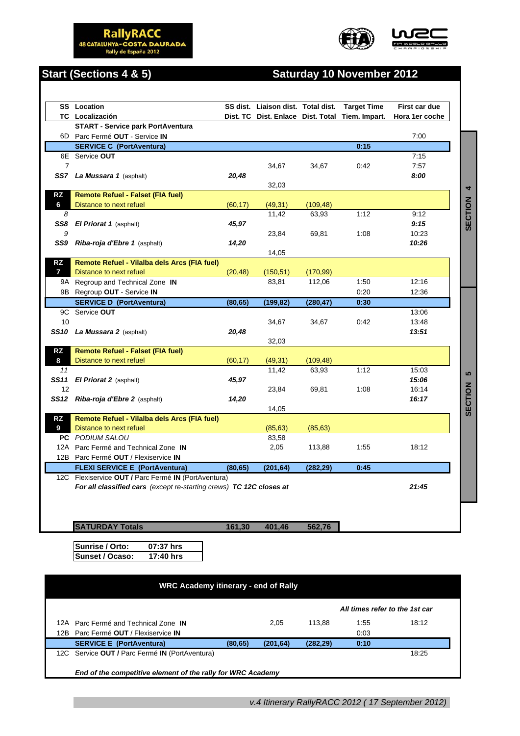





# **Start (Sections 4 & 5) Saturday 10 November 2012**

|                | <b>SS</b> Location                                                  |          |           |           | SS dist. Liaison dist. Total dist. Target Time  | First car due  |
|----------------|---------------------------------------------------------------------|----------|-----------|-----------|-------------------------------------------------|----------------|
|                | TC Localización                                                     |          |           |           | Dist. TC Dist. Enlace Dist. Total Tiem. Impart. | Hora 1er coche |
|                | <b>START - Service park PortAventura</b>                            |          |           |           |                                                 |                |
|                | 6D Parc Fermé OUT - Service IN                                      |          |           |           |                                                 | 7:00           |
|                | <b>SERVICE C (PortAventura)</b>                                     |          |           |           | 0:15                                            |                |
|                | 6E Service OUT                                                      |          |           |           |                                                 | 7:15           |
| $\overline{7}$ |                                                                     |          | 34,67     | 34,67     | 0:42                                            | 7:57           |
|                | SS7 La Mussara 1 (asphalt)                                          | 20,48    |           |           |                                                 | 8:00           |
|                |                                                                     |          | 32,03     |           |                                                 |                |
| RZ             | <b>Remote Refuel - Falset (FIA fuel)</b>                            |          |           |           |                                                 |                |
| 6              | Distance to next refuel                                             | (60, 17) | (49, 31)  | (109, 48) |                                                 |                |
| 8              |                                                                     |          | 11,42     | 63,93     | 1:12                                            | 9:12           |
|                | SS8 El Priorat 1 (asphalt)                                          | 45,97    |           |           |                                                 | 9:15           |
| 9              |                                                                     |          | 23,84     | 69,81     | 1:08                                            | 10:23          |
|                | SS9 Riba-roja d'Ebre 1 (asphalt)                                    | 14,20    |           |           |                                                 | 10:26          |
|                |                                                                     |          | 14,05     |           |                                                 |                |
| <b>RZ</b>      | Remote Refuel - Vilalba dels Arcs (FIA fuel)                        |          |           |           |                                                 |                |
| $\overline{7}$ | Distance to next refuel                                             | (20, 48) | (150, 51) | (170, 99) |                                                 |                |
|                | 9A Regroup and Technical Zone IN                                    |          | 83,81     | 112,06    | 1:50                                            | 12:16          |
|                | 9B Regroup OUT - Service IN                                         |          |           |           | 0:20                                            | 12:36          |
|                | <b>SERVICE D (PortAventura)</b>                                     | (80, 65) | (199, 82) | (280, 47) | 0:30                                            |                |
|                | 9C Service OUT                                                      |          |           |           |                                                 | 13:06          |
| 10             |                                                                     |          | 34,67     | 34,67     | 0:42                                            | 13:48          |
|                | SS10 La Mussara 2 (asphalt)                                         | 20,48    |           |           |                                                 | 13:51          |
|                |                                                                     |          | 32,03     |           |                                                 |                |
| RZ             | <b>Remote Refuel - Falset (FIA fuel)</b>                            |          |           |           |                                                 |                |
| 8              | Distance to next refuel                                             | (60, 17) | (49, 31)  | (109, 48) |                                                 |                |
| 11             |                                                                     |          | 11.42     | 63,93     | 1:12                                            | 15:03          |
| SS11           | <b>El Priorat 2</b> (asphalt)                                       | 45,97    |           |           |                                                 | 15:06          |
| 12             |                                                                     |          | 23,84     | 69,81     | 1:08                                            | 16:14          |
|                | SS12 Riba-roja d'Ebre 2 (asphalt)                                   | 14,20    |           |           |                                                 | 16:17          |
|                |                                                                     |          | 14,05     |           |                                                 |                |
| <b>RZ</b>      | Remote Refuel - Vilalba dels Arcs (FIA fuel)                        |          |           |           |                                                 |                |
| 9              | Distance to next refuel                                             |          | (85, 63)  | (85, 63)  |                                                 |                |
|                | PC PODIUM SALOU                                                     |          | 83,58     |           |                                                 |                |
|                | 12A Parc Fermé and Technical Zone IN                                |          | 2,05      | 113,88    | 1:55                                            | 18:12          |
|                | 12B Parc Fermé OUT / Flexiservice IN                                |          |           |           |                                                 |                |
|                | <b>FLEXI SERVICE E (PortAventura)</b>                               | (80, 65) | (201, 64) | (282, 29) | 0:45                                            |                |
|                | 12C Flexiservice OUT / Parc Fermé IN (PortAventura)                 |          |           |           |                                                 |                |
|                | For all classified cars (except re-starting crews) TC 12C closes at |          |           |           |                                                 | 21:45          |
|                |                                                                     |          |           |           |                                                 |                |
|                |                                                                     |          |           |           |                                                 |                |
|                |                                                                     |          |           |           |                                                 |                |
|                | <b>SATURDAY Totals</b>                                              | 161,30   | 401,46    | 562,76    |                                                 |                |

**Sunrise / Orto: 07:37 hrs Sunset / Ocaso: 17:40 hrs**

| <b>WRC Academy itinerary - end of Rally</b> |                                                             |          |           |           |      |       |  |  |  |
|---------------------------------------------|-------------------------------------------------------------|----------|-----------|-----------|------|-------|--|--|--|
|                                             | All times refer to the 1st car                              |          |           |           |      |       |  |  |  |
|                                             | 12A Parc Fermé and Technical Zone IN                        |          | 2.05      | 113.88    | 1:55 | 18:12 |  |  |  |
| 12B.                                        | Parc Fermé OUT / Flexiservice IN                            |          |           |           | 0:03 |       |  |  |  |
|                                             | <b>SERVICE E (PortAventura)</b>                             | (80, 65) | (201, 64) | (282, 29) | 0:10 |       |  |  |  |
|                                             | 12C Service OUT / Parc Fermé IN (PortAventura)              |          |           |           |      | 18:25 |  |  |  |
|                                             | End of the competitive element of the rally for WRC Academy |          |           |           |      |       |  |  |  |

*v.4 Itinerary RallyRACC 2012 ( 17 September 2012)*